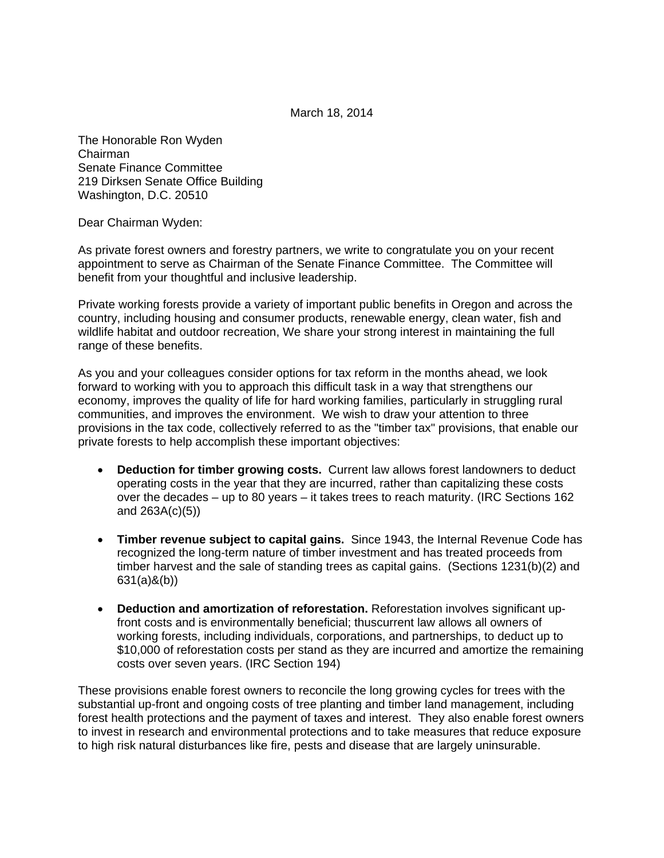March 18, 2014

The Honorable Ron Wyden Chairman Senate Finance Committee 219 Dirksen Senate Office Building Washington, D.C. 20510

Dear Chairman Wyden:

As private forest owners and forestry partners, we write to congratulate you on your recent appointment to serve as Chairman of the Senate Finance Committee. The Committee will benefit from your thoughtful and inclusive leadership.

Private working forests provide a variety of important public benefits in Oregon and across the country, including housing and consumer products, renewable energy, clean water, fish and wildlife habitat and outdoor recreation, We share your strong interest in maintaining the full range of these benefits.

As you and your colleagues consider options for tax reform in the months ahead, we look forward to working with you to approach this difficult task in a way that strengthens our economy, improves the quality of life for hard working families, particularly in struggling rural communities, and improves the environment. We wish to draw your attention to three provisions in the tax code, collectively referred to as the "timber tax" provisions, that enable our private forests to help accomplish these important objectives:

- **Deduction for timber growing costs.** Current law allows forest landowners to deduct operating costs in the year that they are incurred, rather than capitalizing these costs over the decades – up to 80 years – it takes trees to reach maturity. (IRC Sections 162 and 263A(c)(5))
- **Timber revenue subject to capital gains.** Since 1943, the Internal Revenue Code has recognized the long-term nature of timber investment and has treated proceeds from timber harvest and the sale of standing trees as capital gains. (Sections 1231(b)(2) and 631(a)&(b))
- **Deduction and amortization of reforestation.** Reforestation involves significant upfront costs and is environmentally beneficial; thuscurrent law allows all owners of working forests, including individuals, corporations, and partnerships, to deduct up to \$10,000 of reforestation costs per stand as they are incurred and amortize the remaining costs over seven years. (IRC Section 194)

These provisions enable forest owners to reconcile the long growing cycles for trees with the substantial up-front and ongoing costs of tree planting and timber land management, including forest health protections and the payment of taxes and interest. They also enable forest owners to invest in research and environmental protections and to take measures that reduce exposure to high risk natural disturbances like fire, pests and disease that are largely uninsurable.